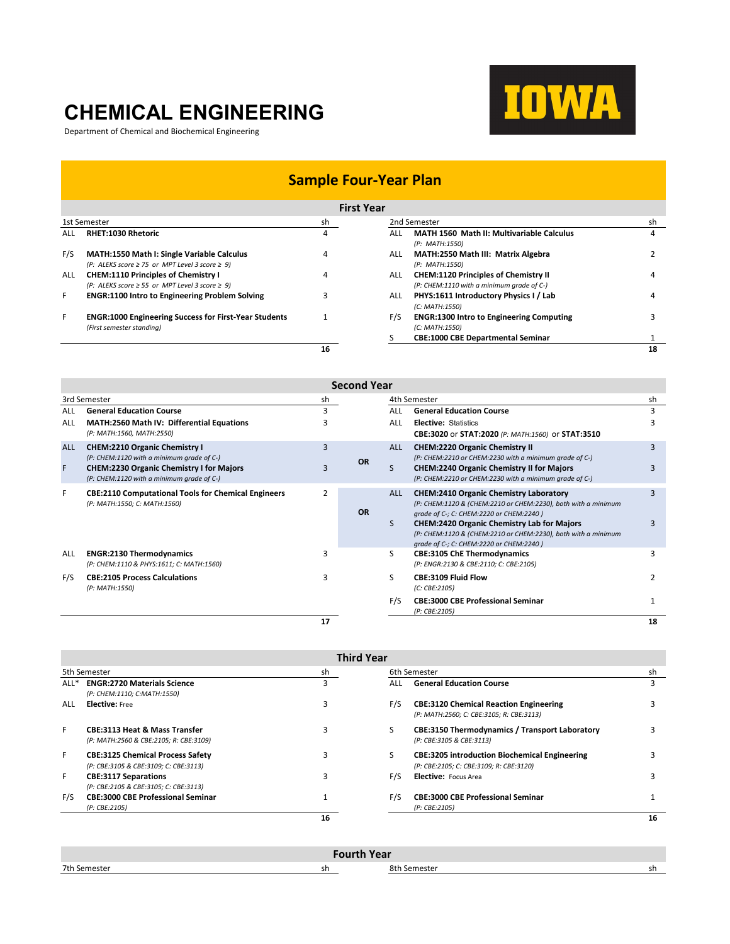## **CHEMICAL ENGINEERING**

Department of Chemical and Biochemical Engineering



## **Sample Four-Year Plan**

| <b>First Year</b> |  |
|-------------------|--|
|-------------------|--|

|              | гіі эс теат                                                                                                   |    |              |                                                                                          |    |  |
|--------------|---------------------------------------------------------------------------------------------------------------|----|--------------|------------------------------------------------------------------------------------------|----|--|
| 1st Semester |                                                                                                               | sh | 2nd Semester |                                                                                          | sh |  |
| ALL          | <b>RHET:1030 Rhetoric</b>                                                                                     | 4  | ALL          | <b>MATH 1560 Math II: Multivariable Calculus</b><br>(P: MATH:1550)                       | 4  |  |
| F/S          | <b>MATH:1550 Math I: Single Variable Calculus</b><br>(P: ALEKS score $\geq$ 75 or MPT Level 3 score $\geq$ 9) | 4  | ALL          | MATH:2550 Math III: Matrix Algebra<br>(P: MATH:1550)                                     |    |  |
| ALL          | <b>CHEM:1110 Principles of Chemistry I</b><br>$(P: ALEKS score \ge 55$ or MPT Level 3 score $\ge 9$ )         |    | ALL.         | <b>CHEM:1120 Principles of Chemistry II</b><br>(P: CHEM:1110 with a minimum grade of C-) |    |  |
| F            | <b>ENGR:1100 Intro to Engineering Problem Solving</b>                                                         |    | ALL.         | PHYS:1611 Introductory Physics I / Lab<br>(C: MATH:1550)                                 |    |  |
| F            | <b>ENGR:1000 Engineering Success for First-Year Students</b><br>(First semester standing)                     |    | F/S          | <b>ENGR:1300 Intro to Engineering Computing</b><br>(C: MATH:1550)                        |    |  |
|              |                                                                                                               |    |              | <b>CBE:1000 CBE Departmental Seminar</b>                                                 |    |  |
|              |                                                                                                               | 16 |              |                                                                                          | 18 |  |

|                 | <b>Second Year</b>                                                                                                                                                                |    |           |                 |                                                                                                                                                                                                                                                                                                                            |        |  |
|-----------------|-----------------------------------------------------------------------------------------------------------------------------------------------------------------------------------|----|-----------|-----------------|----------------------------------------------------------------------------------------------------------------------------------------------------------------------------------------------------------------------------------------------------------------------------------------------------------------------------|--------|--|
|                 | 3rd Semester                                                                                                                                                                      | sh |           |                 | 4th Semester                                                                                                                                                                                                                                                                                                               | sh     |  |
| ALL             | <b>General Education Course</b>                                                                                                                                                   | 3  |           | ALL             | <b>General Education Course</b>                                                                                                                                                                                                                                                                                            | 3      |  |
| ALL             | <b>MATH:2560 Math IV: Differential Equations</b><br>(P: MATH:1560, MATH:2550)                                                                                                     |    |           | ALL             | <b>Elective: Statistics</b><br>CBE:3020 or STAT:2020 (P: MATH:1560) or STAT:3510                                                                                                                                                                                                                                           |        |  |
| <b>ALL</b><br>F | <b>CHEM:2210 Organic Chemistry I</b><br>(P: CHEM:1120 with a minimum grade of C-)<br><b>CHEM:2230 Organic Chemistry I for Majors</b><br>(P: CHEM:1120 with a minimum grade of C-) | 3  | <b>OR</b> | <b>ALL</b><br>S | <b>CHEM:2220 Organic Chemistry II</b><br>(P: CHEM:2210 or CHEM:2230 with a minimum grade of C-)<br><b>CHEM:2240 Organic Chemistry II for Majors</b><br>(P: CHEM:2210 or CHEM:2230 with a minimum grade of C-)                                                                                                              | 3<br>3 |  |
| F               | <b>CBE:2110 Computational Tools for Chemical Engineers</b><br>(P: MATH:1550; C: MATH:1560)                                                                                        | 2  | <b>OR</b> | <b>ALL</b><br>S | <b>CHEM:2410 Organic Chemistry Laboratory</b><br>(P: CHEM:1120 & (CHEM:2210 or CHEM:2230), both with a minimum<br>grade of C-; C: CHEM:2220 or CHEM:2240)<br><b>CHEM:2420 Organic Chemistry Lab for Majors</b><br>(P: CHEM:1120 & (CHEM:2210 or CHEM:2230), both with a minimum<br>grade of C-; C: CHEM:2220 or CHEM:2240) | 3      |  |
| ALL             | <b>ENGR:2130 Thermodynamics</b><br>(P: CHEM:1110 & PHYS:1611; C: MATH:1560)                                                                                                       |    |           | S               | <b>CBE:3105 ChE Thermodynamics</b><br>(P: ENGR:2130 & CBE:2110; C: CBE:2105)                                                                                                                                                                                                                                               |        |  |
| F/S             | <b>CBE:2105 Process Calculations</b><br>(P: MATH:1550)                                                                                                                            | 3  |           | ς               | <b>CBE:3109 Fluid Flow</b><br>(C: CBE:2105)                                                                                                                                                                                                                                                                                | 2      |  |
|                 |                                                                                                                                                                                   |    |           | F/S             | <b>CBE:3000 CBE Professional Seminar</b><br>(P: CBE:2105)                                                                                                                                                                                                                                                                  |        |  |
|                 |                                                                                                                                                                                   | 17 |           |                 |                                                                                                                                                                                                                                                                                                                            | 18     |  |

|                  | <b>Third Year</b>                                                                  |    |              |                                                                                                 |    |  |
|------------------|------------------------------------------------------------------------------------|----|--------------|-------------------------------------------------------------------------------------------------|----|--|
| 5th Semester     |                                                                                    | sh | 6th Semester |                                                                                                 | sh |  |
| ALL <sup>*</sup> | <b>ENGR:2720 Materials Science</b><br>(P: CHEM:1110; C:MATH:1550)                  | 3  | ALL          | <b>General Education Course</b>                                                                 |    |  |
| ALL              | <b>Elective:</b> Free                                                              |    | F/S          | <b>CBE:3120 Chemical Reaction Engineering</b><br>(P: MATH:2560; C: CBE:3105; R: CBE:3113)       |    |  |
| F                | <b>CBE:3113 Heat &amp; Mass Transfer</b><br>(P: MATH:2560 & CBE:2105; R: CBE:3109) |    |              | <b>CBE:3150 Thermodynamics / Transport Laboratory</b><br>(P: CBE:3105 & CBE:3113)               |    |  |
| F                | <b>CBE:3125 Chemical Process Safety</b><br>(P: CBE:3105 & CBE:3109; C: CBE:3113)   |    |              | <b>CBE:3205 introduction Biochemical Engineering</b><br>(P: CBE:2105; C: CBE:3109; R: CBE:3120) |    |  |
| F                | <b>CBE:3117 Separations</b><br>(P: CBE:2105 & CBE:3105; C: CBE:3113)               |    | F/S          | Elective: Focus Area                                                                            |    |  |
| F/S              | <b>CBE:3000 CBE Professional Seminar</b><br>(P: CBE:2105)                          |    | F/S          | <b>CBE:3000 CBE Professional Seminar</b><br>(P: CBE:2105)                                       |    |  |
|                  |                                                                                    | 16 |              |                                                                                                 | 16 |  |

| <b>Fourth Year</b> |    |              |    |  |
|--------------------|----|--------------|----|--|
| 7th Semester       | sh | 8th Semester | sn |  |
|                    |    |              |    |  |